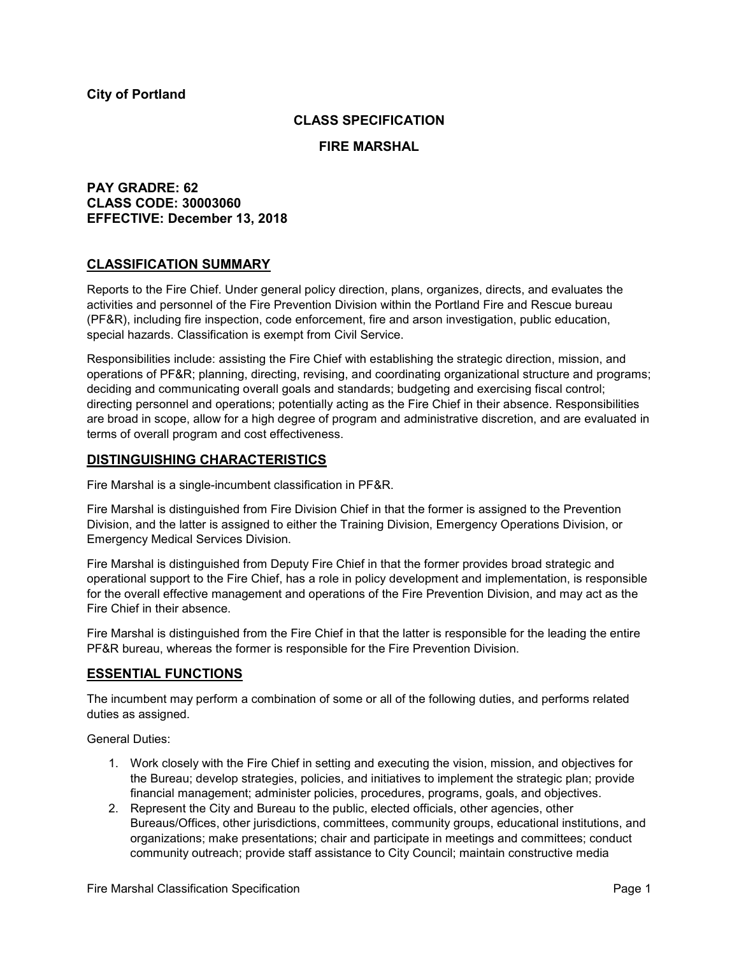## **CLASS SPECIFICATION**

#### **FIRE MARSHAL**

# **PAY GRADRE: 62 CLASS CODE: 30003060 EFFECTIVE: December 13, 2018**

## **CLASSIFICATION SUMMARY**

Reports to the Fire Chief. Under general policy direction, plans, organizes, directs, and evaluates the activities and personnel of the Fire Prevention Division within the Portland Fire and Rescue bureau (PF&R), including fire inspection, code enforcement, fire and arson investigation, public education, special hazards. Classification is exempt from Civil Service.

Responsibilities include: assisting the Fire Chief with establishing the strategic direction, mission, and operations of PF&R; planning, directing, revising, and coordinating organizational structure and programs; deciding and communicating overall goals and standards; budgeting and exercising fiscal control; directing personnel and operations; potentially acting as the Fire Chief in their absence. Responsibilities are broad in scope, allow for a high degree of program and administrative discretion, and are evaluated in terms of overall program and cost effectiveness.

## **DISTINGUISHING CHARACTERISTICS**

Fire Marshal is a single-incumbent classification in PF&R.

Fire Marshal is distinguished from Fire Division Chief in that the former is assigned to the Prevention Division, and the latter is assigned to either the Training Division, Emergency Operations Division, or Emergency Medical Services Division.

Fire Marshal is distinguished from Deputy Fire Chief in that the former provides broad strategic and operational support to the Fire Chief, has a role in policy development and implementation, is responsible for the overall effective management and operations of the Fire Prevention Division, and may act as the Fire Chief in their absence.

Fire Marshal is distinguished from the Fire Chief in that the latter is responsible for the leading the entire PF&R bureau, whereas the former is responsible for the Fire Prevention Division.

## **ESSENTIAL FUNCTIONS**

The incumbent may perform a combination of some or all of the following duties, and performs related duties as assigned.

General Duties:

- 1. Work closely with the Fire Chief in setting and executing the vision, mission, and objectives for the Bureau; develop strategies, policies, and initiatives to implement the strategic plan; provide financial management; administer policies, procedures, programs, goals, and objectives.
- 2. Represent the City and Bureau to the public, elected officials, other agencies, other Bureaus/Offices, other jurisdictions, committees, community groups, educational institutions, and organizations; make presentations; chair and participate in meetings and committees; conduct community outreach; provide staff assistance to City Council; maintain constructive media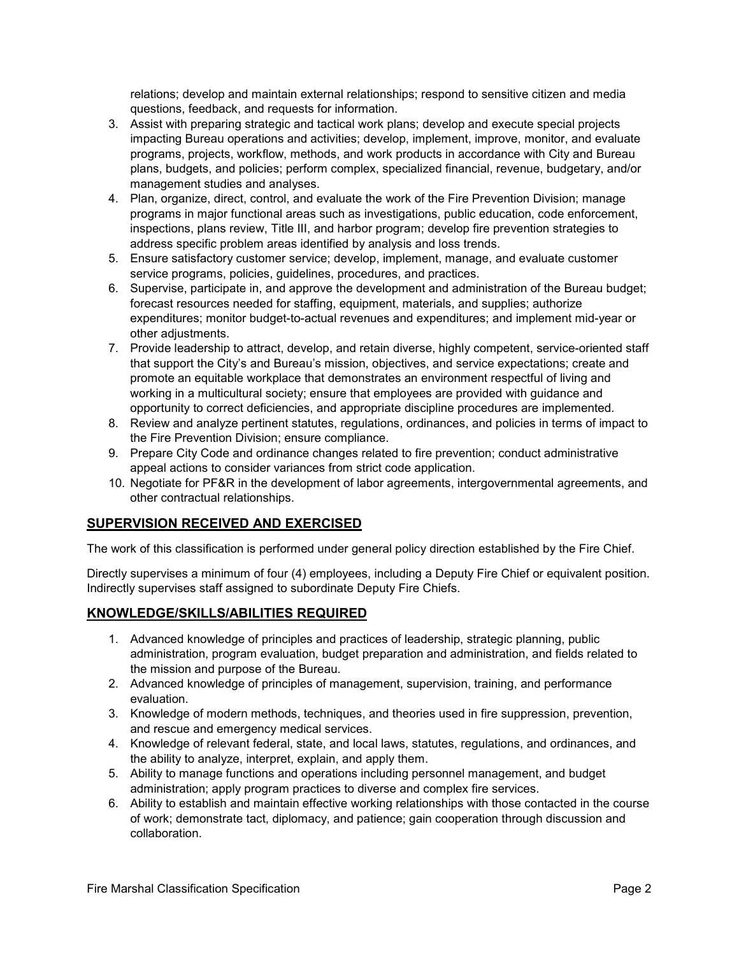relations; develop and maintain external relationships; respond to sensitive citizen and media questions, feedback, and requests for information.

- 3. Assist with preparing strategic and tactical work plans; develop and execute special projects impacting Bureau operations and activities; develop, implement, improve, monitor, and evaluate programs, projects, workflow, methods, and work products in accordance with City and Bureau plans, budgets, and policies; perform complex, specialized financial, revenue, budgetary, and/or management studies and analyses.
- 4. Plan, organize, direct, control, and evaluate the work of the Fire Prevention Division; manage programs in major functional areas such as investigations, public education, code enforcement, inspections, plans review, Title III, and harbor program; develop fire prevention strategies to address specific problem areas identified by analysis and loss trends.
- 5. Ensure satisfactory customer service; develop, implement, manage, and evaluate customer service programs, policies, guidelines, procedures, and practices.
- 6. Supervise, participate in, and approve the development and administration of the Bureau budget; forecast resources needed for staffing, equipment, materials, and supplies; authorize expenditures; monitor budget-to-actual revenues and expenditures; and implement mid-year or other adjustments.
- 7. Provide leadership to attract, develop, and retain diverse, highly competent, service-oriented staff that support the City's and Bureau's mission, objectives, and service expectations; create and promote an equitable workplace that demonstrates an environment respectful of living and working in a multicultural society; ensure that employees are provided with guidance and opportunity to correct deficiencies, and appropriate discipline procedures are implemented.
- 8. Review and analyze pertinent statutes, regulations, ordinances, and policies in terms of impact to the Fire Prevention Division; ensure compliance.
- 9. Prepare City Code and ordinance changes related to fire prevention; conduct administrative appeal actions to consider variances from strict code application.
- 10. Negotiate for PF&R in the development of labor agreements, intergovernmental agreements, and other contractual relationships.

# **SUPERVISION RECEIVED AND EXERCISED**

The work of this classification is performed under general policy direction established by the Fire Chief.

Directly supervises a minimum of four (4) employees, including a Deputy Fire Chief or equivalent position. Indirectly supervises staff assigned to subordinate Deputy Fire Chiefs.

# **KNOWLEDGE/SKILLS/ABILITIES REQUIRED**

- 1. Advanced knowledge of principles and practices of leadership, strategic planning, public administration, program evaluation, budget preparation and administration, and fields related to the mission and purpose of the Bureau.
- 2. Advanced knowledge of principles of management, supervision, training, and performance evaluation.
- 3. Knowledge of modern methods, techniques, and theories used in fire suppression, prevention, and rescue and emergency medical services.
- 4. Knowledge of relevant federal, state, and local laws, statutes, regulations, and ordinances, and the ability to analyze, interpret, explain, and apply them.
- 5. Ability to manage functions and operations including personnel management, and budget administration; apply program practices to diverse and complex fire services.
- 6. Ability to establish and maintain effective working relationships with those contacted in the course of work; demonstrate tact, diplomacy, and patience; gain cooperation through discussion and collaboration.